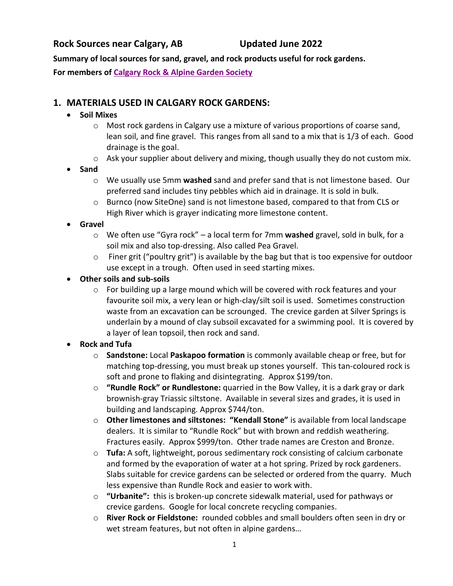## **Rock Sources near Calgary, AB Updated June 2022**

**Summary of local sources for sand, gravel, and rock products useful for rock gardens. For members of [Calgary Rock & Alpine Garden Society](https://crags.ca/)**

# **1. MATERIALS USED IN CALGARY ROCK GARDENS:**

## **Soil Mixes**

- o Most rock gardens in Calgary use a mixture of various proportions of coarse sand, lean soil, and fine gravel. This ranges from all sand to a mix that is 1/3 of each. Good drainage is the goal.
- o Ask your supplier about delivery and mixing, though usually they do not custom mix.
- **Sand**
	- o We usually use 5mm **washed** sand and prefer sand that is not limestone based. Our preferred sand includes tiny pebbles which aid in drainage. It is sold in bulk.
	- o Burnco (now SiteOne) sand is not limestone based, compared to that from CLS or High River which is grayer indicating more limestone content.
- **Gravel**
	- o We often use "Gyra rock" a local term for 7mm **washed** gravel, sold in bulk, for a soil mix and also top-dressing. Also called Pea Gravel.
	- $\circ$  Finer grit ("poultry grit") is available by the bag but that is too expensive for outdoor use except in a trough. Often used in seed starting mixes.
- **Other soils and sub-soils**
	- $\circ$  For building up a large mound which will be covered with rock features and your favourite soil mix, a very lean or high-clay/silt soil is used. Sometimes construction waste from an excavation can be scrounged. The crevice garden at Silver Springs is underlain by a mound of clay subsoil excavated for a swimming pool. It is covered by a layer of lean topsoil, then rock and sand.
- **Rock and Tufa**
	- o **Sandstone:** Local **Paskapoo formation** is commonly available cheap or free, but for matching top-dressing, you must break up stones yourself. This tan-coloured rock is soft and prone to flaking and disintegrating. Approx \$199/ton.
	- o **"Rundle Rock" or Rundlestone:** quarried in the Bow Valley, it is a dark gray or dark brownish-gray Triassic siltstone. Available in several sizes and grades, it is used in building and landscaping. Approx \$744/ton.
	- o **Other limestones and siltstones: "Kendall Stone"** is available from local landscape dealers. It is similar to "Rundle Rock" but with brown and reddish weathering. Fractures easily. Approx \$999/ton. Other trade names are Creston and Bronze.
	- o **Tufa:** A soft, lightweight, porous sedimentary rock consisting of calcium carbonate and formed by the evaporation of water at a hot spring. Prized by rock gardeners. Slabs suitable for crevice gardens can be selected or ordered from the quarry. Much less expensive than Rundle Rock and easier to work with.
	- o **"Urbanite":** this is broken-up concrete sidewalk material, used for pathways or crevice gardens. Google for local concrete recycling companies.
	- o **River Rock or Fieldstone:** rounded cobbles and small boulders often seen in dry or wet stream features, but not often in alpine gardens…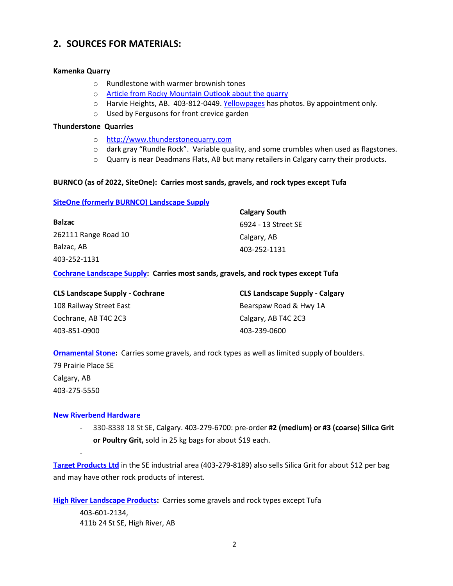## **2. SOURCES FOR MATERIALS:**

#### **Kamenka Quarry**

- o Rundlestone with warmer brownish tones
- o [Article from Rocky Mountain Outlook about](o%09https:/www.rmotoday.com/local-news/at-kamenka-quarry-every-stone-has-a-story-1568340) the quarry
- o Harvie Heights, AB. 403-812-0449. [Yellowpages](https://www.yellowpages.ca/bus/Alberta/Harvie-Heights/Rundle-Rock-Building-Stone-Kamenka-Quarry/8169409.html?redirect=autocomplete) has photos. By appointment only.
- o Used by Fergusons for front crevice garden

#### **Thunderstone Quarries**

- o [http://www.thunderstonequarry.com](http://www.thunderstonequarry.com/)
- o dark gray "Rundle Rock". Variable quality, and some crumbles when used as flagstones.
- $\circ$  Quarry is near Deadmans Flats, AB but many retailers in Calgary carry their products.

#### **BURNCO (as of 2022, SiteOne): Carries most sands, gravels, and rock types except Tufa**

### **[SiteOne \(formerly BURNCO\)](https://www.siteone.ca/) Landscape Supply**

|                      | <b>Calgary South</b> |
|----------------------|----------------------|
| <b>Balzac</b>        | 6924 - 13 Street SE  |
| 262111 Range Road 10 | Calgary, AB          |
| Balzac, AB           | 403-252-1131         |
| 403-252-1131         |                      |

#### **[Cochrane Landscape Supply:](https://shop.clslandscapesupply.com/service-lines/) Carries most sands, gravels, and rock types except Tufa**

| <b>CLS Landscape Supply - Cochrane</b> | <b>CLS Landscape Supply - Calgary</b> |
|----------------------------------------|---------------------------------------|
| 108 Railway Street East                | Bearspaw Road & Hwy 1A                |
| Cochrane, AB T4C 2C3                   | Calgary, AB T4C 2C3                   |
| 403-851-0900                           | 403-239-0600                          |

**[Ornamental Stone:](https://ornamentalstone.ca/)** Carries some gravels, and rock types as well as limited supply of boulders.

79 Prairie Place SE Calgary, AB 403-275-5550

-

#### **[New Riverbend Hardware](https://www.facebook.com/riverbendhardware/)**

- 330-8338 18 St SE, Calgary. 403-279-6700: pre-order **#2 (medium) or #3 (coarse) Silica Grit or Poultry Grit,** sold in 25 kg bags for about \$19 each.

**[Target Products Ltd](https://www.targetproducts.com/portfolio-item/poultry-grit/)** in the SE industrial area (403-279-8189) also sells Silica Grit for about \$12 per bag and may have other rock products of interest.

**High River [Landscape Products:](http://highriverlandscapeproducts.com/)** Carries some gravels and rock types except Tufa

403-601-2134, 411b 24 St SE, High River, AB